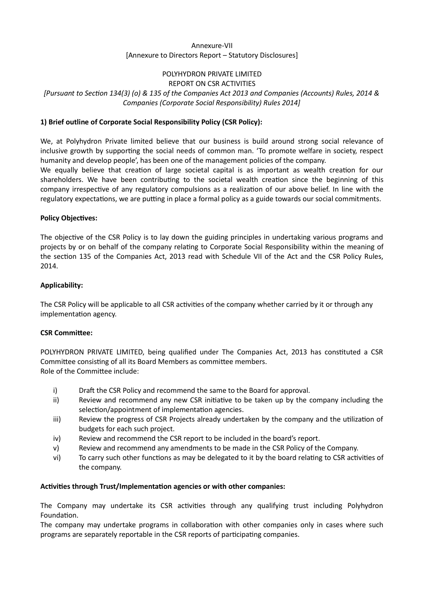# Annexure-VII [Annexure to Directors Report – Statutory Disclosures]

# POLYHYDRON PRIVATE LIMITED

REPORT ON CSR ACTIVITIES

# [Pursuant to SecƟon 134(3) (o) & 135 of the Companies Act 2013 and Companies (Accounts) Rules, 2014 & Companies (Corporate Social Responsibility) Rules 2014]

# 1) Brief outline of Corporate Social Responsibility Policy (CSR Policy):

We, at Polyhydron Private limited believe that our business is build around strong social relevance of inclusive growth by supporting the social needs of common man. 'To promote welfare in society, respect humanity and develop people', has been one of the management policies of the company.

We equally believe that creation of large societal capital is as important as wealth creation for our shareholders. We have been contributing to the societal wealth creation since the beginning of this company irrespective of any regulatory compulsions as a realization of our above belief. In line with the regulatory expectations, we are putting in place a formal policy as a guide towards our social commitments.

## Policy Objectives:

The objective of the CSR Policy is to lay down the guiding principles in undertaking various programs and projects by or on behalf of the company relating to Corporate Social Responsibility within the meaning of the section 135 of the Companies Act, 2013 read with Schedule VII of the Act and the CSR Policy Rules, 2014.

## Applicability:

The CSR Policy will be applicable to all CSR activities of the company whether carried by it or through any implementation agency.

#### **CSR Committee:**

POLYHYDRON PRIVATE LIMITED, being qualified under The Companies Act, 2013 has constituted a CSR Committee consisting of all its Board Members as committee members. Role of the Committee include:

- i) Draft the CSR Policy and recommend the same to the Board for approval.
- ii) Review and recommend any new CSR initiative to be taken up by the company including the selection/appointment of implementation agencies.
- iii) Review the progress of CSR Projects already undertaken by the company and the utilization of budgets for each such project.
- iv) Review and recommend the CSR report to be included in the board's report.
- v) Review and recommend any amendments to be made in the CSR Policy of the Company.
- vi) To carry such other functions as may be delegated to it by the board relating to CSR activities of the company.

#### Activities through Trust/Implementation agencies or with other companies:

The Company may undertake its CSR activities through any qualifying trust including Polyhydron Foundation.

The company may undertake programs in collaboration with other companies only in cases where such programs are separately reportable in the CSR reports of participating companies.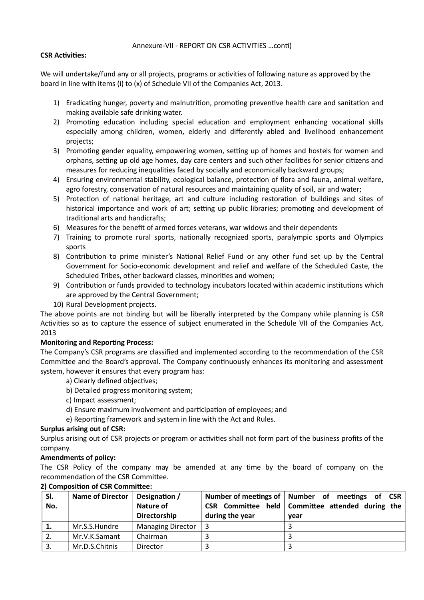### Annexure-VII - REPORT ON CSR ACTIVITIES ... conti)

## CSR Activities:

We will undertake/fund any or all projects, programs or activities of following nature as approved by the board in line with items (i) to (x) of Schedule VII of the Companies Act, 2013.

- 1) Eradicating hunger, poverty and malnutrition, promoting preventive health care and sanitation and making available safe drinking water.
- 2) Promoting education including special education and employment enhancing vocational skills especially among children, women, elderly and differently abled and livelihood enhancement projects;
- 3) Promoting gender equality, empowering women, setting up of homes and hostels for women and orphans, setting up old age homes, day care centers and such other facilities for senior citizens and measures for reducing inequalities faced by socially and economically backward groups;
- 4) Ensuring environmental stability, ecological balance, protection of flora and fauna, animal welfare, agro forestry, conservation of natural resources and maintaining quality of soil, air and water;
- 5) Protection of national heritage, art and culture including restoration of buildings and sites of historical importance and work of art; setting up public libraries; promoting and development of traditional arts and handicrafts;
- 6) Measures for the benefit of armed forces veterans, war widows and their dependents
- 7) Training to promote rural sports, nationally recognized sports, paralympic sports and Olympics sports
- 8) Contribution to prime minister's National Relief Fund or any other fund set up by the Central Government for Socio-economic development and relief and welfare of the Scheduled Caste, the Scheduled Tribes, other backward classes, minorities and women;
- 9) Contribution or funds provided to technology incubators located within academic institutions which are approved by the Central Government;
- 10) Rural Development projects.

The above points are not binding but will be liberally interpreted by the Company while planning is CSR Activities so as to capture the essence of subject enumerated in the Schedule VII of the Companies Act, 2013

# Monitoring and Reporting Process:

The Company's CSR programs are classified and implemented according to the recommendation of the CSR Committee and the Board's approval. The Company continuously enhances its monitoring and assessment system, however it ensures that every program has:

- a) Clearly defined objectives;
- b) Detailed progress monitoring system;
- c) Impact assessment;
- d) Ensure maximum involvement and participation of employees; and
- e) Reporting framework and system in line with the Act and Rules.

#### Surplus arising out of CSR:

Surplus arising out of CSR projects or program or activities shall not form part of the business profits of the company.

#### Amendments of policy:

The CSR Policy of the company may be amended at any time by the board of company on the recommendation of the CSR Committee.

| SI.<br>No. | <b>Name of Director</b> | Designation /<br>Nature of<br>Directorship | during the year | Number of meetings of   Number of meetings of CSR<br>CSR Committee held   Committee attended during the<br>vear |
|------------|-------------------------|--------------------------------------------|-----------------|-----------------------------------------------------------------------------------------------------------------|
| 1.         | Mr.S.S.Hundre           | <b>Managing Director</b>                   |                 |                                                                                                                 |
|            | Mr.V.K.Samant           | Chairman                                   |                 |                                                                                                                 |
| 3.         | Mr.D.S.Chitnis          | <b>Director</b>                            |                 |                                                                                                                 |

#### 2) Composition of CSR Committee: